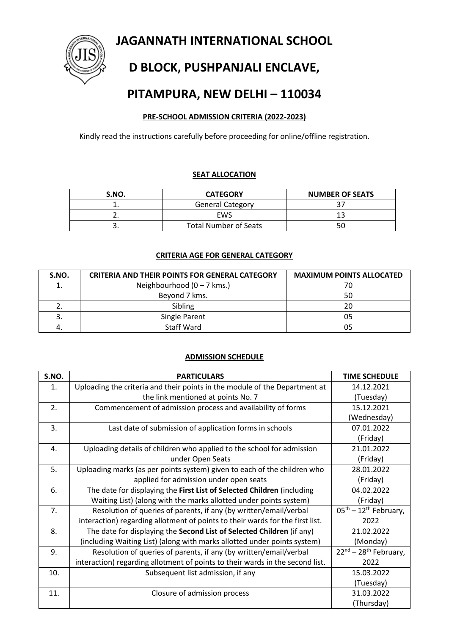**JAGANNATH INTERNATIONAL SCHOOL**



# **D BLOCK, PUSHPANJALI ENCLAVE,**

## **PITAMPURA, NEW DELHI – 110034**

### **PRE-SCHOOL ADMISSION CRITERIA (2022-2023)**

Kindly read the instructions carefully before proceeding for online/offline registration.

#### **SEAT ALLOCATION**

| S.NO. | <b>CATEGORY</b>              | <b>NUMBER OF SEATS</b> |
|-------|------------------------------|------------------------|
|       | <b>General Category</b>      |                        |
|       | EWS                          |                        |
|       | <b>Total Number of Seats</b> |                        |

#### **CRITERIA AGE FOR GENERAL CATEGORY**

| S.NO. | <b>CRITERIA AND THEIR POINTS FOR GENERAL CATEGORY</b> | <b>MAXIMUM POINTS ALLOCATED</b> |
|-------|-------------------------------------------------------|---------------------------------|
|       | Neighbourhood $(0 - 7$ kms.)                          | 70                              |
|       | Beyond 7 kms.                                         | 50                              |
| ۷.    | Sibling                                               | 20                              |
|       | Single Parent                                         | 05                              |
|       | <b>Staff Ward</b>                                     | 05                              |

#### **ADMISSION SCHEDULE**

| S.NO.          | <b>PARTICULARS</b>                                                            | <b>TIME SCHEDULE</b>                        |
|----------------|-------------------------------------------------------------------------------|---------------------------------------------|
| $\mathbf{1}$ . | Uploading the criteria and their points in the module of the Department at    | 14.12.2021                                  |
|                | the link mentioned at points No. 7                                            | (Tuesday)                                   |
| 2.             | Commencement of admission process and availability of forms                   | 15.12.2021                                  |
|                |                                                                               | (Wednesday)                                 |
| 3.             | Last date of submission of application forms in schools                       | 07.01.2022                                  |
|                |                                                                               | (Friday)                                    |
| 4.             | Uploading details of children who applied to the school for admission         | 21.01.2022                                  |
|                | under Open Seats                                                              | (Friday)                                    |
| 5.             | Uploading marks (as per points system) given to each of the children who      | 28.01.2022                                  |
|                | applied for admission under open seats                                        | (Friday)                                    |
| 6.             | The date for displaying the First List of Selected Children (including        | 04.02.2022                                  |
|                | Waiting List) (along with the marks allotted under points system)             | (Friday)                                    |
| 7.             | Resolution of queries of parents, if any (by written/email/verbal             | $05^{\text{th}} - 12^{\text{th}}$ February, |
|                | interaction) regarding allotment of points to their wards for the first list. | 2022                                        |
| 8.             | The date for displaying the Second List of Selected Children (if any)         | 21.02.2022                                  |
|                | (including Waiting List) (along with marks allotted under points system)      | (Monday)                                    |
| 9.             | Resolution of queries of parents, if any (by written/email/verbal             | $22^{nd}$ – 28 <sup>th</sup> February,      |
|                | interaction) regarding allotment of points to their wards in the second list. | 2022                                        |
| 10.            | Subsequent list admission, if any                                             | 15.03.2022                                  |
|                |                                                                               | (Tuesday)                                   |
| 11.            | Closure of admission process                                                  | 31.03.2022                                  |
|                |                                                                               | (Thursday)                                  |